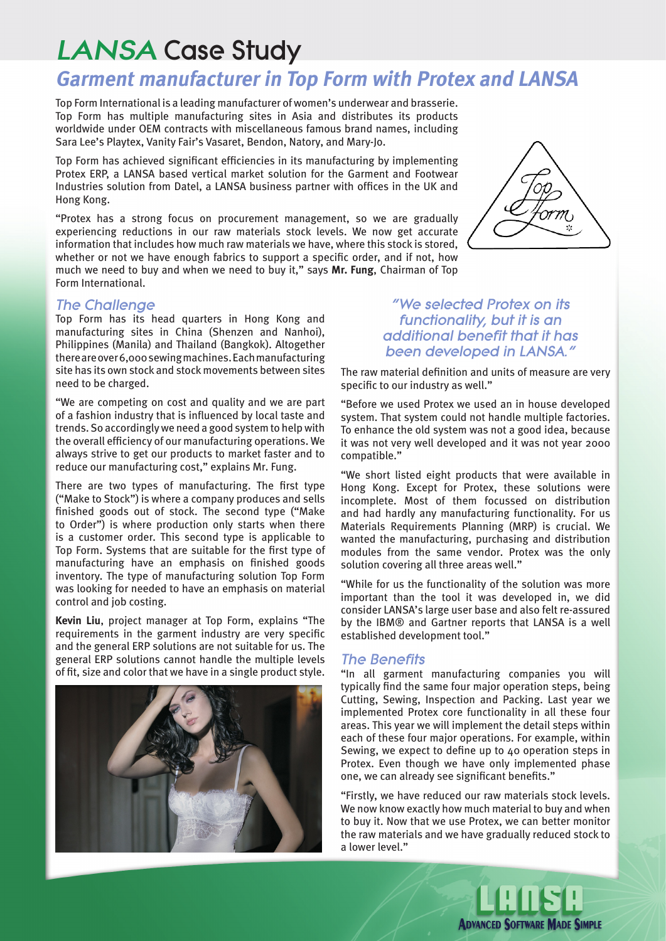# LANSA Case Study

# **Garment manufacturer in Top Form with Protex and LANSA**

Top Form International is a leading manufacturer of women's underwear and brasserie. Top Form has multiple manufacturing sites in Asia and distributes its products worldwide under OEM contracts with miscellaneous famous brand names, including Sara Lee's Playtex, Vanity Fair's Vasaret, Bendon, Natory, and Mary-Jo.

Top Form has achieved significant efficiencies in its manufacturing by implementing Protex ERP, a LANSA based vertical market solution for the Garment and Footwear Industries solution from Datel, a LANSA business partner with offices in the UK and Hong Kong.

"Protex has a strong focus on procurement management, so we are gradually experiencing reductions in our raw materials stock levels. We now get accurate information that includes how much raw materials we have, where this stock is stored, whether or not we have enough fabrics to support a specific order, and if not, how much we need to buy and when we need to buy it," says **Mr. Fung**, Chairman of Top Form International.

## The Challenge

Top Form has its head quarters in Hong Kong and manufacturing sites in China (Shenzen and Nanhoi), Philippines (Manila) and Thailand (Bangkok). Altogether there are over 6,000 sewing machines. Each manufacturing site has its own stock and stock movements between sites need to be charged.

"We are competing on cost and quality and we are part of a fashion industry that is influenced by local taste and trends. So accordingly we need a good system to help with the overall efficiency of our manufacturing operations. We always strive to get our products to market faster and to reduce our manufacturing cost," explains Mr. Fung.

There are two types of manufacturing. The first type ("Make to Stock") is where a company produces and sells finished goods out of stock. The second type ("Make to Order") is where production only starts when there is a customer order. This second type is applicable to Top Form. Systems that are suitable for the first type of manufacturing have an emphasis on finished goods inventory. The type of manufacturing solution Top Form was looking for needed to have an emphasis on material control and job costing.

**Kevin Liu**, project manager at Top Form, explains "The requirements in the garment industry are very specific and the general ERP solutions are not suitable for us. The general ERP solutions cannot handle the multiple levels of fit, size and color that we have in a single product style.





# "We selected Protex on its functionality, but it is an additional benefit that it has been developed in LANSA."

The raw material definition and units of measure are very specific to our industry as well."

"Before we used Protex we used an in house developed system. That system could not handle multiple factories. To enhance the old system was not a good idea, because it was not very well developed and it was not year 2000 compatible."

"We short listed eight products that were available in Hong Kong. Except for Protex, these solutions were incomplete. Most of them focussed on distribution and had hardly any manufacturing functionality. For us Materials Requirements Planning (MRP) is crucial. We wanted the manufacturing, purchasing and distribution modules from the same vendor. Protex was the only solution covering all three areas well."

"While for us the functionality of the solution was more important than the tool it was developed in, we did consider LANSA's large user base and also felt re-assured by the IBM® and Gartner reports that LANSA is a well established development tool."

#### The Benefits

"In all garment manufacturing companies you will typically find the same four major operation steps, being Cutting, Sewing, Inspection and Packing. Last year we implemented Protex core functionality in all these four areas. This year we will implement the detail steps within each of these four major operations. For example, within Sewing, we expect to define up to 40 operation steps in Protex. Even though we have only implemented phase one, we can already see significant benefits."

"Firstly, we have reduced our raw materials stock levels. We now know exactly how much material to buy and when to buy it. Now that we use Protex, we can better monitor the raw materials and we have gradually reduced stock to a lower level."